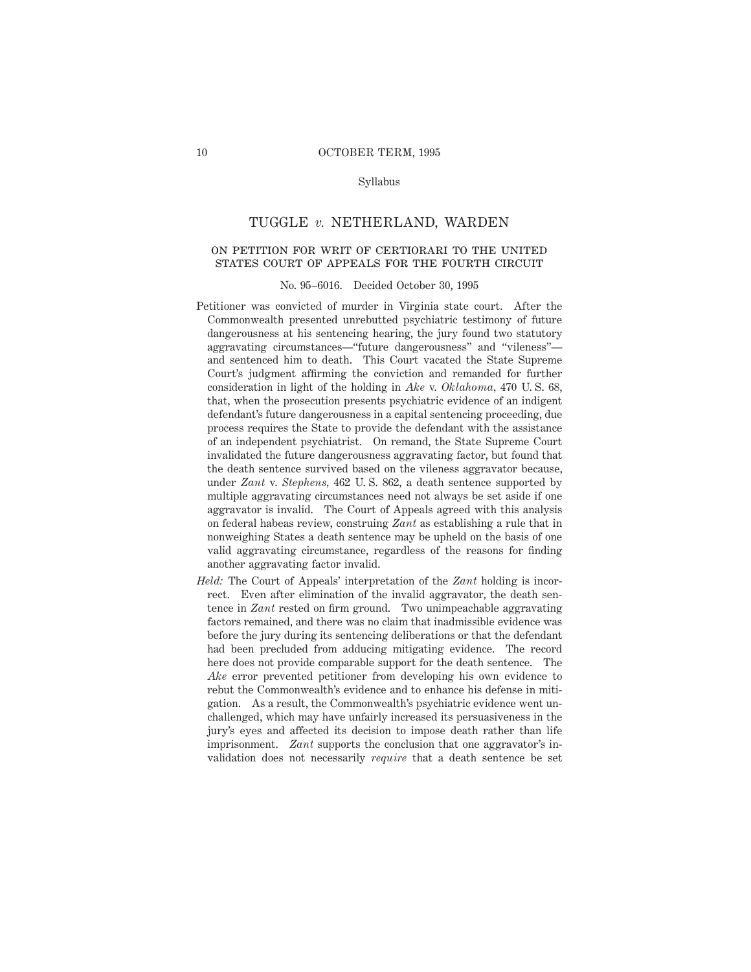### Syllabus

# TUGGLE *v.* NETHERLAND, WARDEN

# on petition for writ of certiorari to the united states court of appeals for the fourth circuit

#### No. 95–6016. Decided October 30, 1995

- Petitioner was convicted of murder in Virginia state court. After the Commonwealth presented unrebutted psychiatric testimony of future dangerousness at his sentencing hearing, the jury found two statutory aggravating circumstances—"future dangerousness" and "vileness" and sentenced him to death. This Court vacated the State Supreme Court's judgment affirming the conviction and remanded for further consideration in light of the holding in *Ake* v. *Oklahoma,* 470 U. S. 68, that, when the prosecution presents psychiatric evidence of an indigent defendant's future dangerousness in a capital sentencing proceeding, due process requires the State to provide the defendant with the assistance of an independent psychiatrist. On remand, the State Supreme Court invalidated the future dangerousness aggravating factor, but found that the death sentence survived based on the vileness aggravator because, under *Zant* v. *Stephens,* 462 U. S. 862, a death sentence supported by multiple aggravating circumstances need not always be set aside if one aggravator is invalid. The Court of Appeals agreed with this analysis on federal habeas review, construing *Zant* as establishing a rule that in nonweighing States a death sentence may be upheld on the basis of one valid aggravating circumstance, regardless of the reasons for finding another aggravating factor invalid.
- *Held:* The Court of Appeals' interpretation of the *Zant* holding is incorrect. Even after elimination of the invalid aggravator, the death sentence in *Zant* rested on firm ground. Two unimpeachable aggravating factors remained, and there was no claim that inadmissible evidence was before the jury during its sentencing deliberations or that the defendant had been precluded from adducing mitigating evidence. The record here does not provide comparable support for the death sentence. The *Ake* error prevented petitioner from developing his own evidence to rebut the Commonwealth's evidence and to enhance his defense in mitigation. As a result, the Commonwealth's psychiatric evidence went unchallenged, which may have unfairly increased its persuasiveness in the jury's eyes and affected its decision to impose death rather than life imprisonment. *Zant* supports the conclusion that one aggravator's invalidation does not necessarily *require* that a death sentence be set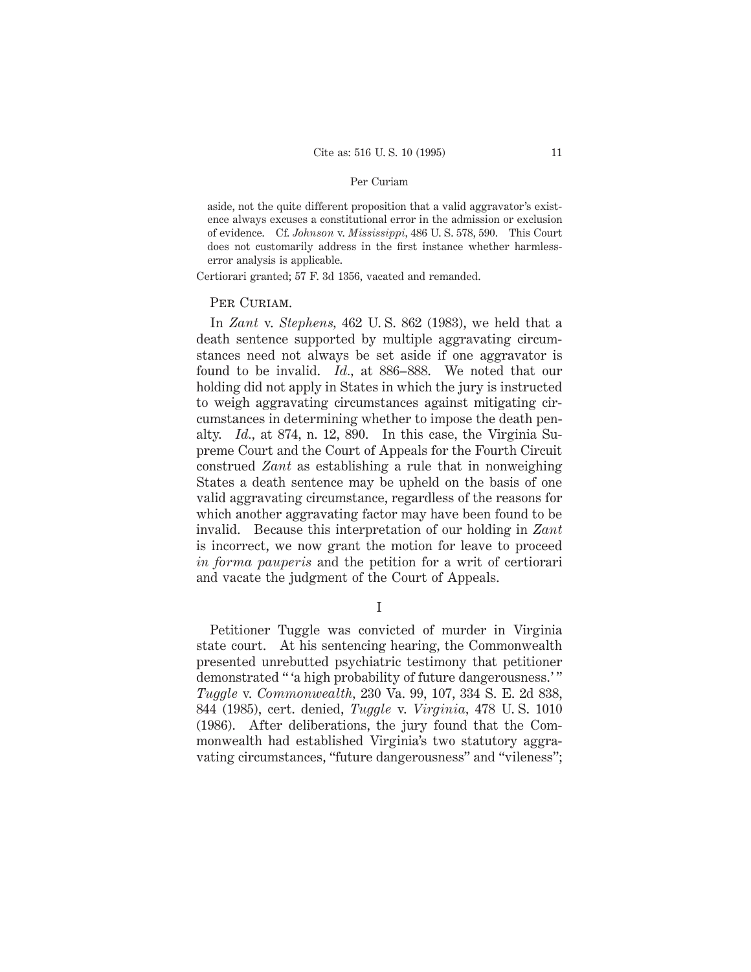### Per Curiam

aside, not the quite different proposition that a valid aggravator's existence always excuses a constitutional error in the admission or exclusion of evidence. Cf. *Johnson* v. *Mississippi,* 486 U. S. 578, 590. This Court does not customarily address in the first instance whether harmlesserror analysis is applicable.

Certiorari granted; 57 F. 3d 1356, vacated and remanded.

# PER CURIAM.

In *Zant* v. *Stephens,* 462 U. S. 862 (1983), we held that a death sentence supported by multiple aggravating circumstances need not always be set aside if one aggravator is found to be invalid. *Id.,* at 886–888. We noted that our holding did not apply in States in which the jury is instructed to weigh aggravating circumstances against mitigating circumstances in determining whether to impose the death penalty. *Id.,* at 874, n. 12, 890. In this case, the Virginia Supreme Court and the Court of Appeals for the Fourth Circuit construed *Zant* as establishing a rule that in nonweighing States a death sentence may be upheld on the basis of one valid aggravating circumstance, regardless of the reasons for which another aggravating factor may have been found to be invalid. Because this interpretation of our holding in *Zant* is incorrect, we now grant the motion for leave to proceed *in forma pauperis* and the petition for a writ of certiorari and vacate the judgment of the Court of Appeals.

I

Petitioner Tuggle was convicted of murder in Virginia state court. At his sentencing hearing, the Commonwealth presented unrebutted psychiatric testimony that petitioner demonstrated " a high probability of future dangerousness.'" *Tuggle* v. *Commonwealth,* 230 Va. 99, 107, 334 S. E. 2d 838, 844 (1985), cert. denied, *Tuggle* v. *Virginia,* 478 U. S. 1010 (1986). After deliberations, the jury found that the Commonwealth had established Virginia's two statutory aggravating circumstances, "future dangerousness" and "vileness";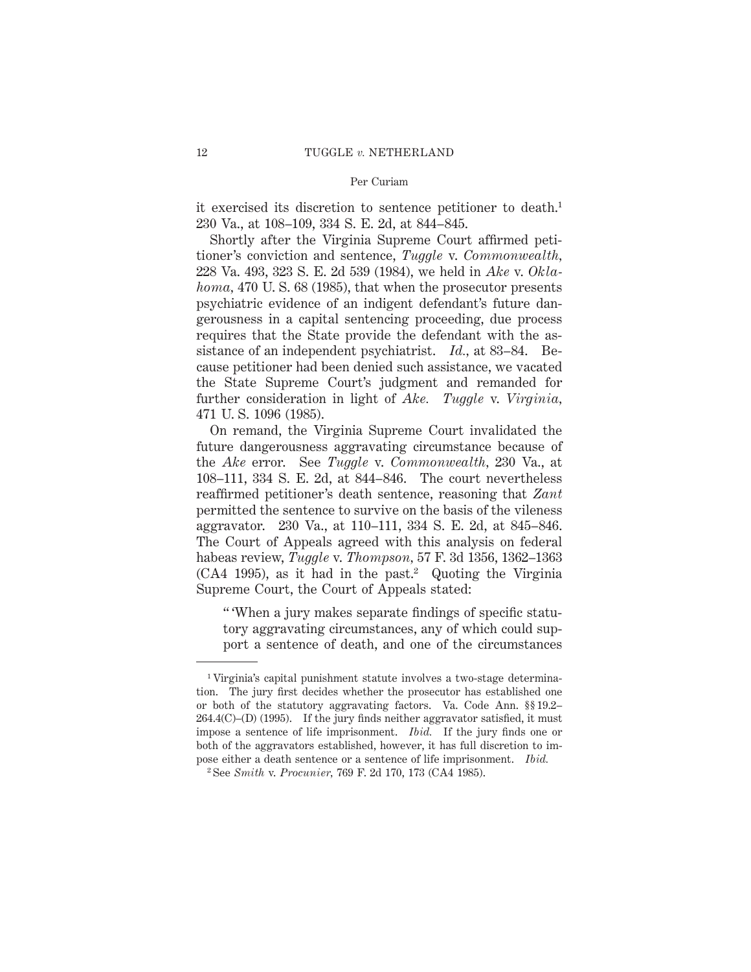### Per Curiam

it exercised its discretion to sentence petitioner to death.<sup>1</sup> 230 Va., at 108–109, 334 S. E. 2d, at 844–845.

Shortly after the Virginia Supreme Court affirmed petitioner's conviction and sentence, *Tuggle* v. *Commonwealth,* 228 Va. 493, 323 S. E. 2d 539 (1984), we held in *Ake* v. *Oklahoma,* 470 U. S. 68 (1985), that when the prosecutor presents psychiatric evidence of an indigent defendant's future dangerousness in a capital sentencing proceeding, due process requires that the State provide the defendant with the assistance of an independent psychiatrist. *Id.,* at 83–84. Because petitioner had been denied such assistance, we vacated the State Supreme Court's judgment and remanded for further consideration in light of *Ake. Tuggle* v. *Virginia,* 471 U. S. 1096 (1985).

On remand, the Virginia Supreme Court invalidated the future dangerousness aggravating circumstance because of the *Ake* error. See *Tuggle* v. *Commonwealth,* 230 Va., at 108–111, 334 S. E. 2d, at 844–846. The court nevertheless reaffirmed petitioner's death sentence, reasoning that *Zant* permitted the sentence to survive on the basis of the vileness aggravator. 230 Va., at 110–111, 334 S. E. 2d, at 845–846. The Court of Appeals agreed with this analysis on federal habeas review, *Tuggle* v. *Thompson,* 57 F. 3d 1356, 1362–1363  $(CA4 1995)$ , as it had in the past.<sup>2</sup> Quoting the Virginia Supreme Court, the Court of Appeals stated:

" 'When a jury makes separate findings of specific statutory aggravating circumstances, any of which could support a sentence of death, and one of the circumstances

<sup>1</sup> Virginia's capital punishment statute involves a two-stage determination. The jury first decides whether the prosecutor has established one or both of the statutory aggravating factors. Va. Code Ann. §§ 19.2–  $264.4(C)$ –(D) (1995). If the jury finds neither aggravator satisfied, it must impose a sentence of life imprisonment. *Ibid.* If the jury finds one or both of the aggravators established, however, it has full discretion to impose either a death sentence or a sentence of life imprisonment. *Ibid.*

<sup>2</sup> See *Smith* v. *Procunier,* 769 F. 2d 170, 173 (CA4 1985).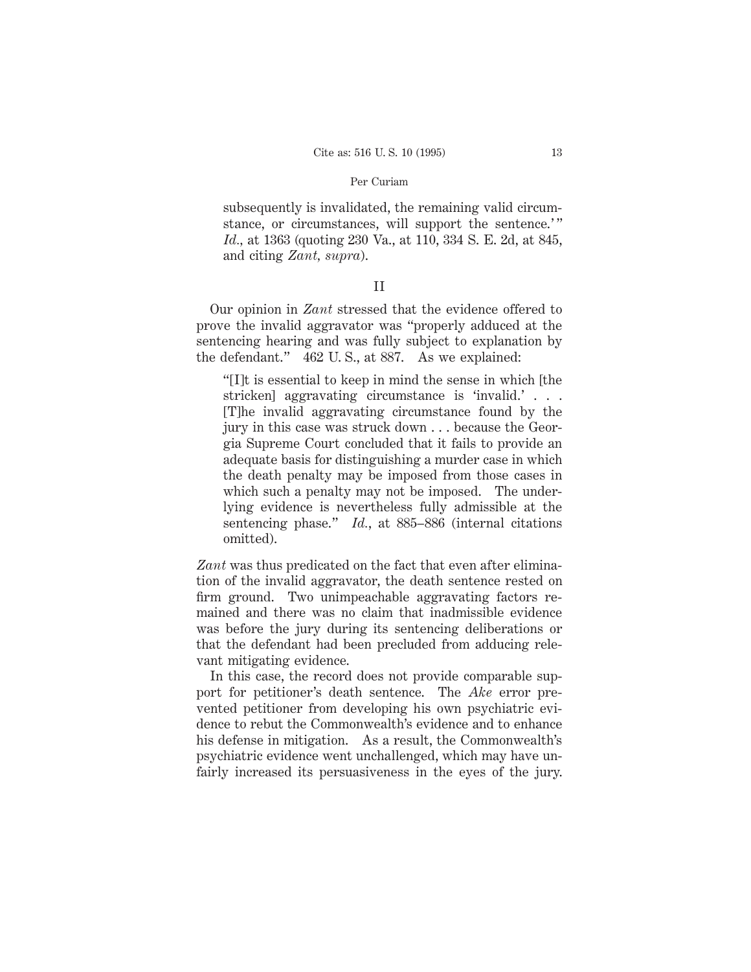### Per Curiam

subsequently is invalidated, the remaining valid circumstance, or circumstances, will support the sentence.'" *Id.,* at 1363 (quoting 230 Va., at 110, 334 S. E. 2d, at 845, and citing *Zant, supra*).

# II

Our opinion in *Zant* stressed that the evidence offered to prove the invalid aggravator was "properly adduced at the sentencing hearing and was fully subject to explanation by the defendant." 462 U. S., at 887. As we explained:

"[I]t is essential to keep in mind the sense in which [the stricken] aggravating circumstance is 'invalid.'... [T]he invalid aggravating circumstance found by the jury in this case was struck down . . . because the Georgia Supreme Court concluded that it fails to provide an adequate basis for distinguishing a murder case in which the death penalty may be imposed from those cases in which such a penalty may not be imposed. The underlying evidence is nevertheless fully admissible at the sentencing phase." *Id.*, at 885–886 (internal citations omitted).

*Zant* was thus predicated on the fact that even after elimination of the invalid aggravator, the death sentence rested on firm ground. Two unimpeachable aggravating factors remained and there was no claim that inadmissible evidence was before the jury during its sentencing deliberations or that the defendant had been precluded from adducing relevant mitigating evidence.

In this case, the record does not provide comparable support for petitioner's death sentence. The *Ake* error prevented petitioner from developing his own psychiatric evidence to rebut the Commonwealth's evidence and to enhance his defense in mitigation. As a result, the Commonwealth's psychiatric evidence went unchallenged, which may have unfairly increased its persuasiveness in the eyes of the jury.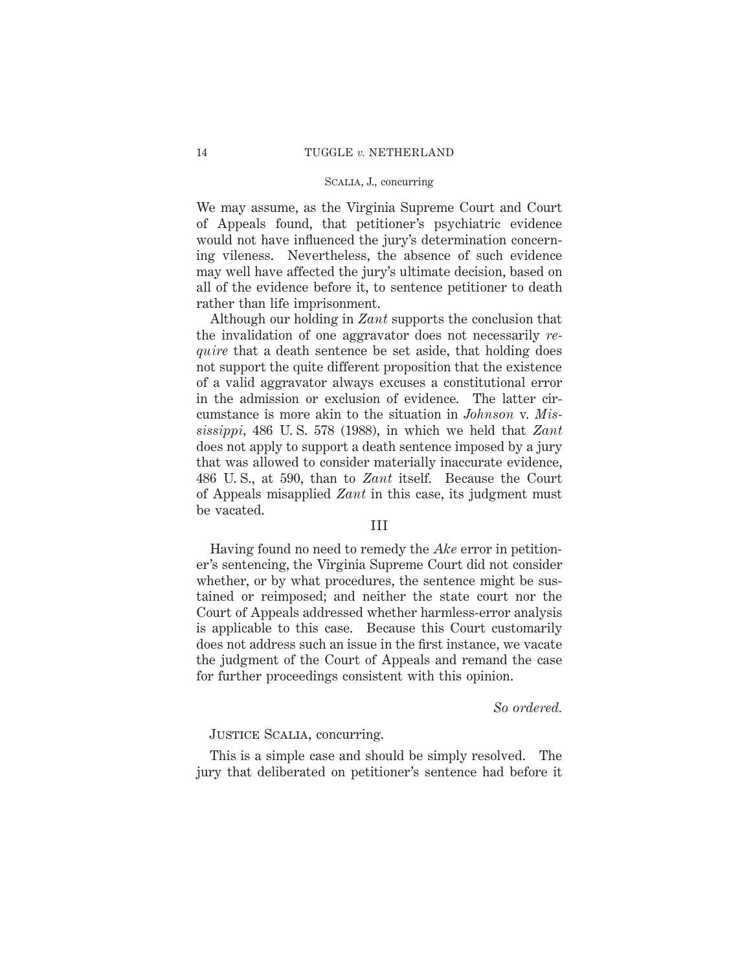### Scalia, J., concurring

We may assume, as the Virginia Supreme Court and Court of Appeals found, that petitioner's psychiatric evidence would not have influenced the jury's determination concerning vileness. Nevertheless, the absence of such evidence may well have affected the jury's ultimate decision, based on all of the evidence before it, to sentence petitioner to death rather than life imprisonment.

Although our holding in *Zant* supports the conclusion that the invalidation of one aggravator does not necessarily *require* that a death sentence be set aside, that holding does not support the quite different proposition that the existence of a valid aggravator always excuses a constitutional error in the admission or exclusion of evidence. The latter circumstance is more akin to the situation in *Johnson* v. *Mississippi,* 486 U. S. 578 (1988), in which we held that *Zant* does not apply to support a death sentence imposed by a jury that was allowed to consider materially inaccurate evidence, 486 U. S., at 590, than to *Zant* itself. Because the Court of Appeals misapplied *Zant* in this case, its judgment must be vacated.

# III

Having found no need to remedy the *Ake* error in petitioner's sentencing, the Virginia Supreme Court did not consider whether, or by what procedures, the sentence might be sustained or reimposed; and neither the state court nor the Court of Appeals addressed whether harmless-error analysis is applicable to this case. Because this Court customarily does not address such an issue in the first instance, we vacate the judgment of the Court of Appeals and remand the case for further proceedings consistent with this opinion.

# *So ordered.*

### Justice Scalia, concurring.

This is a simple case and should be simply resolved. The jury that deliberated on petitioner's sentence had before it